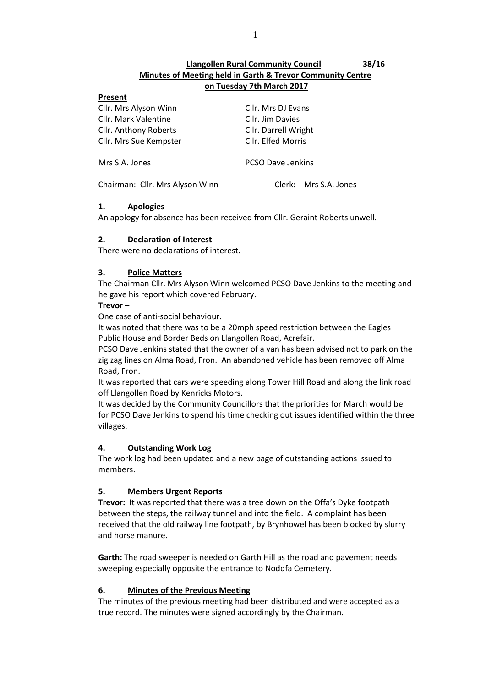# **Llangollen Rural Community Council 38/16 Minutes of Meeting held in Garth & Trevor Community Centre on Tuesday 7th March 2017**

#### **Present**

| Cllr. Mrs Alyson Winn           | Cllr. Mrs DJ Evans       |  |
|---------------------------------|--------------------------|--|
| <b>Cllr. Mark Valentine</b>     | Cllr. Jim Davies         |  |
| Cllr. Anthony Roberts           | Cllr. Darrell Wright     |  |
| Cllr. Mrs Sue Kempster          | Cllr. Elfed Morris       |  |
|                                 |                          |  |
| Mrs S.A. Jones                  | <b>PCSO Dave Jenkins</b> |  |
|                                 |                          |  |
| Chairman: Cllr. Mrs Alyson Winn | Mrs S.A. Jones<br>Clerk: |  |
|                                 |                          |  |

## **1. Apologies**

An apology for absence has been received from Cllr. Geraint Roberts unwell.

## **2. Declaration of Interest**

There were no declarations of interest.

## **3. Police Matters**

The Chairman Cllr. Mrs Alyson Winn welcomed PCSO Dave Jenkins to the meeting and he gave his report which covered February.

## **Trevor** –

One case of anti-social behaviour.

It was noted that there was to be a 20mph speed restriction between the Eagles Public House and Border Beds on Llangollen Road, Acrefair.

PCSO Dave Jenkins stated that the owner of a van has been advised not to park on the zig zag lines on Alma Road, Fron. An abandoned vehicle has been removed off Alma Road, Fron.

It was reported that cars were speeding along Tower Hill Road and along the link road off Llangollen Road by Kenricks Motors.

It was decided by the Community Councillors that the priorities for March would be for PCSO Dave Jenkins to spend his time checking out issues identified within the three villages.

## **4. Outstanding Work Log**

The work log had been updated and a new page of outstanding actions issued to members.

## **5. Members Urgent Reports**

**Trevor:** It was reported that there was a tree down on the Offa's Dyke footpath between the steps, the railway tunnel and into the field. A complaint has been received that the old railway line footpath, by Brynhowel has been blocked by slurry and horse manure.

**Garth:** The road sweeper is needed on Garth Hill as the road and pavement needs sweeping especially opposite the entrance to Noddfa Cemetery.

## **6. Minutes of the Previous Meeting**

The minutes of the previous meeting had been distributed and were accepted as a true record. The minutes were signed accordingly by the Chairman.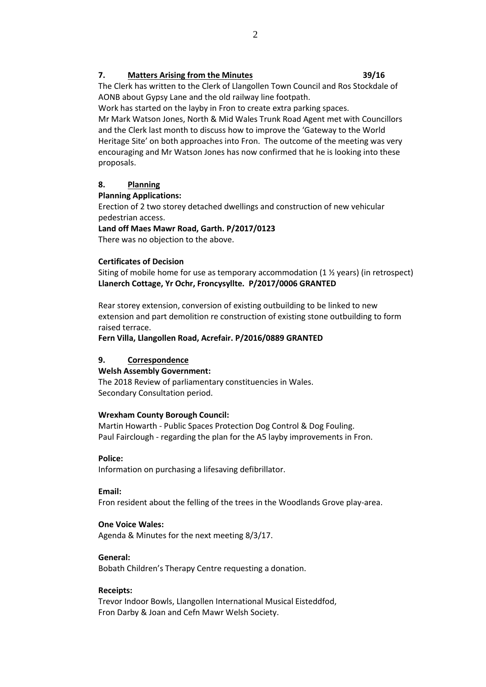## **7. Matters Arising from the Minutes 39/16**

The Clerk has written to the Clerk of Llangollen Town Council and Ros Stockdale of AONB about Gypsy Lane and the old railway line footpath.

Work has started on the layby in Fron to create extra parking spaces.

Mr Mark Watson Jones, North & Mid Wales Trunk Road Agent met with Councillors and the Clerk last month to discuss how to improve the 'Gateway to the World Heritage Site' on both approaches into Fron. The outcome of the meeting was very encouraging and Mr Watson Jones has now confirmed that he is looking into these proposals.

## **8. Planning**

## **Planning Applications:**

Erection of 2 two storey detached dwellings and construction of new vehicular pedestrian access.

## **Land off Maes Mawr Road, Garth. P/2017/0123**

There was no objection to the above.

## **Certificates of Decision**

Siting of mobile home for use as temporary accommodation (1  $\frac{1}{2}$  years) (in retrospect) **Llanerch Cottage, Yr Ochr, Froncysyllte. P/2017/0006 GRANTED**

Rear storey extension, conversion of existing outbuilding to be linked to new extension and part demolition re construction of existing stone outbuilding to form raised terrace.

**Fern Villa, Llangollen Road, Acrefair. P/2016/0889 GRANTED**

## **9. Correspondence**

## **Welsh Assembly Government:**

The 2018 Review of parliamentary constituencies in Wales. Secondary Consultation period.

## **Wrexham County Borough Council:**

Martin Howarth - Public Spaces Protection Dog Control & Dog Fouling. Paul Fairclough - regarding the plan for the A5 layby improvements in Fron.

## **Police:**

Information on purchasing a lifesaving defibrillator.

#### **Email:**

Fron resident about the felling of the trees in the Woodlands Grove play-area.

## **One Voice Wales:**

Agenda & Minutes for the next meeting 8/3/17.

## **General:**

Bobath Children's Therapy Centre requesting a donation.

#### **Receipts:**

Trevor Indoor Bowls, Llangollen International Musical Eisteddfod, Fron Darby & Joan and Cefn Mawr Welsh Society.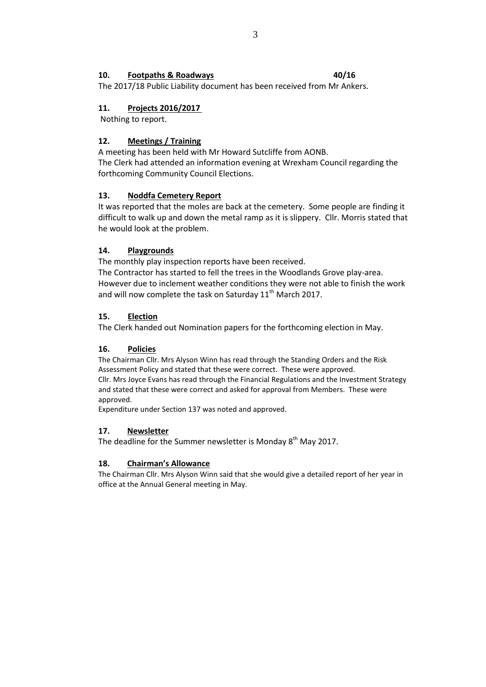## **10. Footpaths & Roadways 40/16**

The 2017/18 Public Liability document has been received from Mr Ankers.

## **11. Projects 2016/2017**

Nothing to report.

## **12. Meetings / Training**

A meeting has been held with Mr Howard Sutcliffe from AONB. The Clerk had attended an information evening at Wrexham Council regarding the forthcoming Community Council Elections.

## **13. Noddfa Cemetery Report**

It was reported that the moles are back at the cemetery. Some people are finding it difficult to walk up and down the metal ramp as it is slippery. Cllr. Morris stated that he would look at the problem.

## **14. Playgrounds**

The monthly play inspection reports have been received.

The Contractor has started to fell the trees in the Woodlands Grove play-area. However due to inclement weather conditions they were not able to finish the work and will now complete the task on Saturday  $11<sup>th</sup>$  March 2017.

## **15. Election**

The Clerk handed out Nomination papers for the forthcoming election in May.

## **16. Policies**

The Chairman Cllr. Mrs Alyson Winn has read through the Standing Orders and the Risk Assessment Policy and stated that these were correct. These were approved. Cllr. Mrs Joyce Evans has read through the Financial Regulations and the Investment Strategy and stated that these were correct and asked for approval from Members. These were approved.

Expenditure under Section 137 was noted and approved.

## **17. Newsletter**

The deadline for the Summer newsletter is Monday  $8<sup>th</sup>$  May 2017.

## **18. Chairman's Allowance**

The Chairman Cllr. Mrs Alyson Winn said that she would give a detailed report of her year in office at the Annual General meeting in May.